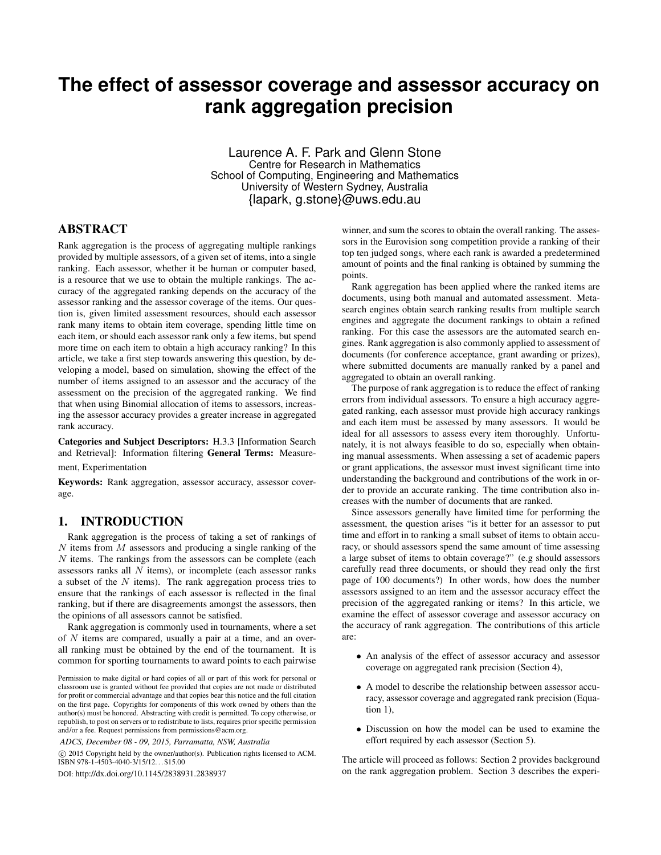# **The effect of assessor coverage and assessor accuracy on rank aggregation precision**

Laurence A. F. Park and Glenn Stone Centre for Research in Mathematics School of Computing, Engineering and Mathematics University of Western Sydney, Australia {lapark, g.stone}@uws.edu.au

## ABSTRACT

Rank aggregation is the process of aggregating multiple rankings provided by multiple assessors, of a given set of items, into a single ranking. Each assessor, whether it be human or computer based, is a resource that we use to obtain the multiple rankings. The accuracy of the aggregated ranking depends on the accuracy of the assessor ranking and the assessor coverage of the items. Our question is, given limited assessment resources, should each assessor rank many items to obtain item coverage, spending little time on each item, or should each assessor rank only a few items, but spend more time on each item to obtain a high accuracy ranking? In this article, we take a first step towards answering this question, by developing a model, based on simulation, showing the effect of the number of items assigned to an assessor and the accuracy of the assessment on the precision of the aggregated ranking. We find that when using Binomial allocation of items to assessors, increasing the assessor accuracy provides a greater increase in aggregated rank accuracy.

Categories and Subject Descriptors: H.3.3 [Information Search and Retrieval]: Information filtering General Terms: Measure-

ment, Experimentation

Keywords: Rank aggregation, assessor accuracy, assessor coverage.

#### 1. INTRODUCTION

Rank aggregation is the process of taking a set of rankings of  $N$  items from  $M$  assessors and producing a single ranking of the  $N$  items. The rankings from the assessors can be complete (each assessors ranks all  $N$  items), or incomplete (each assessor ranks a subset of the  $N$  items). The rank aggregation process tries to ensure that the rankings of each assessor is reflected in the final ranking, but if there are disagreements amongst the assessors, then the opinions of all assessors cannot be satisfied.

Rank aggregation is commonly used in tournaments, where a set of  $N$  items are compared, usually a pair at a time, and an overall ranking must be obtained by the end of the tournament. It is common for sporting tournaments to award points to each pairwise

 c 2015 Copyright held by the owner/author(s). Publication rights licensed to ACM. ISBN 978-1-4503-4040-3/15/12. . . \$15.00

DOI: http://dx.doi.org/10.1145/2838931.2838937

winner, and sum the scores to obtain the overall ranking. The assessors in the Eurovision song competition provide a ranking of their top ten judged songs, where each rank is awarded a predetermined amount of points and the final ranking is obtained by summing the points.

Rank aggregation has been applied where the ranked items are documents, using both manual and automated assessment. Metasearch engines obtain search ranking results from multiple search engines and aggregate the document rankings to obtain a refined ranking. For this case the assessors are the automated search engines. Rank aggregation is also commonly applied to assessment of documents (for conference acceptance, grant awarding or prizes), where submitted documents are manually ranked by a panel and aggregated to obtain an overall ranking.

The purpose of rank aggregation is to reduce the effect of ranking errors from individual assessors. To ensure a high accuracy aggregated ranking, each assessor must provide high accuracy rankings and each item must be assessed by many assessors. It would be ideal for all assessors to assess every item thoroughly. Unfortunately, it is not always feasible to do so, especially when obtaining manual assessments. When assessing a set of academic papers or grant applications, the assessor must invest significant time into understanding the background and contributions of the work in order to provide an accurate ranking. The time contribution also increases with the number of documents that are ranked.

Since assessors generally have limited time for performing the assessment, the question arises "is it better for an assessor to put time and effort in to ranking a small subset of items to obtain accuracy, or should assessors spend the same amount of time assessing a large subset of items to obtain coverage?" (e.g should assessors carefully read three documents, or should they read only the first page of 100 documents?) In other words, how does the number assessors assigned to an item and the assessor accuracy effect the precision of the aggregated ranking or items? In this article, we examine the effect of assessor coverage and assessor accuracy on the accuracy of rank aggregation. The contributions of this article are:

- An analysis of the effect of assessor accuracy and assessor coverage on aggregated rank precision (Section 4),
- A model to describe the relationship between assessor accuracy, assessor coverage and aggregated rank precision (Equation 1),
- Discussion on how the model can be used to examine the effort required by each assessor (Section 5).

The article will proceed as follows: Section 2 provides background on the rank aggregation problem. Section 3 describes the experi-

Permission to make digital or hard copies of all or part of this work for personal or classroom use is granted without fee provided that copies are not made or distributed for profit or commercial advantage and that copies bear this notice and the full citation on the first page. Copyrights for components of this work owned by others than the author(s) must be honored. Abstracting with credit is permitted. To copy otherwise, or republish, to post on servers or to redistribute to lists, requires prior specific permission and/or a fee. Request permissions from permissions@acm.org.

*ADCS, December 08 - 09, 2015, Parramatta, NSW, Australia*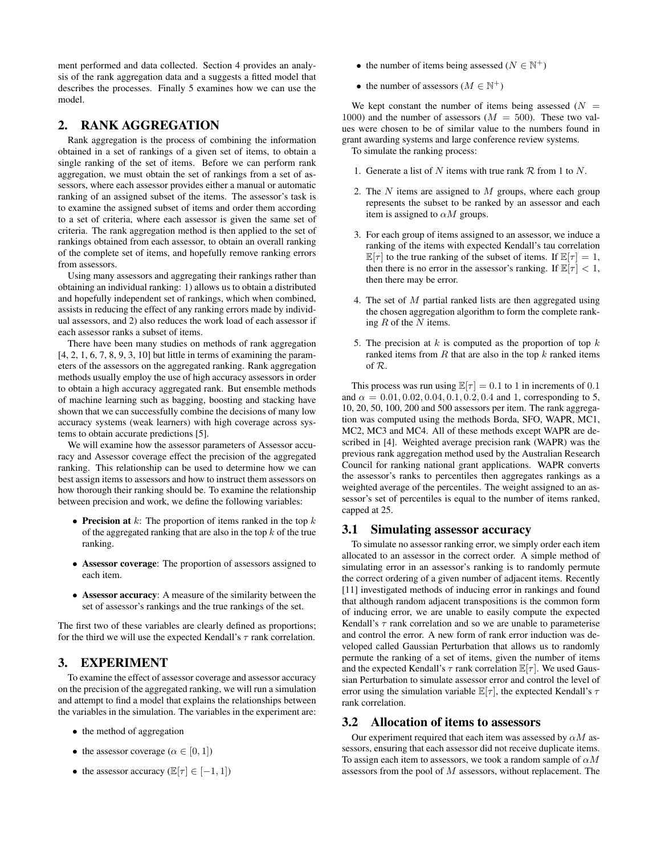ment performed and data collected. Section 4 provides an analysis of the rank aggregation data and a suggests a fitted model that describes the processes. Finally 5 examines how we can use the model.

# 2. RANK AGGREGATION

Rank aggregation is the process of combining the information obtained in a set of rankings of a given set of items, to obtain a single ranking of the set of items. Before we can perform rank aggregation, we must obtain the set of rankings from a set of assessors, where each assessor provides either a manual or automatic ranking of an assigned subset of the items. The assessor's task is to examine the assigned subset of items and order them according to a set of criteria, where each assessor is given the same set of criteria. The rank aggregation method is then applied to the set of rankings obtained from each assessor, to obtain an overall ranking of the complete set of items, and hopefully remove ranking errors from assessors.

Using many assessors and aggregating their rankings rather than obtaining an individual ranking: 1) allows us to obtain a distributed and hopefully independent set of rankings, which when combined, assists in reducing the effect of any ranking errors made by individual assessors, and 2) also reduces the work load of each assessor if each assessor ranks a subset of items.

There have been many studies on methods of rank aggregation [4, 2, 1, 6, 7, 8, 9, 3, 10] but little in terms of examining the parameters of the assessors on the aggregated ranking. Rank aggregation methods usually employ the use of high accuracy assessors in order to obtain a high accuracy aggregated rank. But ensemble methods of machine learning such as bagging, boosting and stacking have shown that we can successfully combine the decisions of many low accuracy systems (weak learners) with high coverage across systems to obtain accurate predictions [5].

We will examine how the assessor parameters of Assessor accuracy and Assessor coverage effect the precision of the aggregated ranking. This relationship can be used to determine how we can best assign items to assessors and how to instruct them assessors on how thorough their ranking should be. To examine the relationship between precision and work, we define the following variables:

- Precision at  $k$ : The proportion of items ranked in the top  $k$ of the aggregated ranking that are also in the top  $k$  of the true ranking.
- Assessor coverage: The proportion of assessors assigned to each item.
- Assessor accuracy: A measure of the similarity between the set of assessor's rankings and the true rankings of the set.

The first two of these variables are clearly defined as proportions; for the third we will use the expected Kendall's  $\tau$  rank correlation.

## 3. EXPERIMENT

To examine the effect of assessor coverage and assessor accuracy on the precision of the aggregated ranking, we will run a simulation and attempt to find a model that explains the relationships between the variables in the simulation. The variables in the experiment are:

- the method of aggregation
- the assessor coverage ( $\alpha \in [0, 1]$ )
- the assessor accuracy ( $\mathbb{E}[\tau] \in [-1, 1]$ )
- the number of items being assessed ( $N \in \mathbb{N}^+$ )
- the number of assessors  $(M \in \mathbb{N}^+)$

We kept constant the number of items being assessed ( $N =$ 1000) and the number of assessors  $(M = 500)$ . These two values were chosen to be of similar value to the numbers found in grant awarding systems and large conference review systems. To simulate the ranking process:

- 1. Generate a list of N items with true rank  $R$  from 1 to N.
- 2. The  $N$  items are assigned to  $M$  groups, where each group represents the subset to be ranked by an assessor and each item is assigned to  $\alpha M$  groups.
- 3. For each group of items assigned to an assessor, we induce a ranking of the items with expected Kendall's tau correlation  $\mathbb{E}[\tau]$  to the true ranking of the subset of items. If  $\mathbb{E}[\tau] = 1$ , then there is no error in the assessor's ranking. If  $\mathbb{E}[\tau] < 1$ , then there may be error.
- 4. The set of  $M$  partial ranked lists are then aggregated using the chosen aggregation algorithm to form the complete ranking  $R$  of the  $N$  items.
- 5. The precision at  $k$  is computed as the proportion of top  $k$ ranked items from  $R$  that are also in the top  $k$  ranked items of R.

This process was run using  $\mathbb{E}[\tau] = 0.1$  to 1 in increments of 0.1 and  $\alpha = 0.01, 0.02, 0.04, 0.1, 0.2, 0.4$  and 1, corresponding to 5, 10, 20, 50, 100, 200 and 500 assessors per item. The rank aggregation was computed using the methods Borda, SFO, WAPR, MC1, MC2, MC3 and MC4. All of these methods except WAPR are described in [4]. Weighted average precision rank (WAPR) was the previous rank aggregation method used by the Australian Research Council for ranking national grant applications. WAPR converts the assessor's ranks to percentiles then aggregates rankings as a weighted average of the percentiles. The weight assigned to an assessor's set of percentiles is equal to the number of items ranked, capped at 25.

#### 3.1 Simulating assessor accuracy

To simulate no assessor ranking error, we simply order each item allocated to an assessor in the correct order. A simple method of simulating error in an assessor's ranking is to randomly permute the correct ordering of a given number of adjacent items. Recently [11] investigated methods of inducing error in rankings and found that although random adjacent transpositions is the common form of inducing error, we are unable to easily compute the expected Kendall's  $\tau$  rank correlation and so we are unable to parameterise and control the error. A new form of rank error induction was developed called Gaussian Perturbation that allows us to randomly permute the ranking of a set of items, given the number of items and the expected Kendall's  $\tau$  rank correlation  $\mathbb{E}[\tau]$ . We used Gaussian Perturbation to simulate assessor error and control the level of error using the simulation variable  $\mathbb{E}[\tau]$ , the exptected Kendall's  $\tau$ rank correlation.

#### 3.2 Allocation of items to assessors

Our experiment required that each item was assessed by  $\alpha M$  assessors, ensuring that each assessor did not receive duplicate items. To assign each item to assessors, we took a random sample of  $\alpha M$ assessors from the pool of M assessors, without replacement. The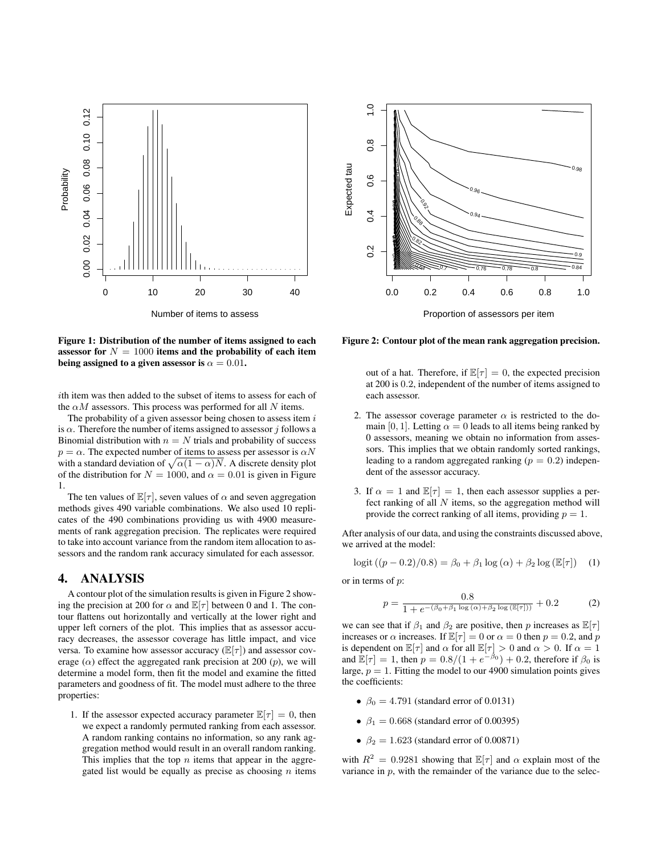

Figure 1: Distribution of the number of items assigned to each assessor for  $N = 1000$  items and the probability of each item being assigned to a given assessor is  $\alpha = 0.01$ .

ith item was then added to the subset of items to assess for each of the  $\alpha M$  assessors. This process was performed for all N items.

The probability of a given assessor being chosen to assess item  $i$ is  $\alpha$ . Therefore the number of items assigned to assessor j follows a Binomial distribution with  $n = N$  trials and probability of success  $p = \alpha$ . The expected number of items to assess per assessor is  $\alpha N$ with a standard deviation of  $\sqrt{\alpha(1-\alpha)N}$ . A discrete density plot of the distribution for  $N = 1000$ , and  $\alpha = 0.01$  is given in Figure 1.

The ten values of  $\mathbb{E}[\tau]$ , seven values of  $\alpha$  and seven aggregation methods gives 490 variable combinations. We also used 10 replicates of the 490 combinations providing us with 4900 measurements of rank aggregation precision. The replicates were required to take into account variance from the random item allocation to assessors and the random rank accuracy simulated for each assessor.

#### 4. ANALYSIS

A contour plot of the simulation results is given in Figure 2 showing the precision at 200 for  $\alpha$  and  $\mathbb{E}[\tau]$  between 0 and 1. The contour flattens out horizontally and vertically at the lower right and upper left corners of the plot. This implies that as assessor accuracy decreases, the assessor coverage has little impact, and vice versa. To examine how assessor accuracy ( $\mathbb{E}[\tau]$ ) and assessor coverage  $(\alpha)$  effect the aggregated rank precision at 200  $(p)$ , we will determine a model form, then fit the model and examine the fitted parameters and goodness of fit. The model must adhere to the three properties:

1. If the assessor expected accuracy parameter  $\mathbb{E}[\tau] = 0$ , then we expect a randomly permuted ranking from each assessor. A random ranking contains no information, so any rank aggregation method would result in an overall random ranking. This implies that the top  $n$  items that appear in the aggregated list would be equally as precise as choosing  $n$  items



Figure 2: Contour plot of the mean rank aggregation precision.

out of a hat. Therefore, if  $\mathbb{E}[\tau] = 0$ , the expected precision at 200 is 0.2, independent of the number of items assigned to each assessor.

- 2. The assessor coverage parameter  $\alpha$  is restricted to the domain [0, 1]. Letting  $\alpha = 0$  leads to all items being ranked by 0 assessors, meaning we obtain no information from assessors. This implies that we obtain randomly sorted rankings, leading to a random aggregated ranking ( $p = 0.2$ ) independent of the assessor accuracy.
- 3. If  $\alpha = 1$  and  $\mathbb{E}[\tau] = 1$ , then each assessor supplies a perfect ranking of all  $N$  items, so the aggregation method will provide the correct ranking of all items, providing  $p = 1$ .

After analysis of our data, and using the constraints discussed above, we arrived at the model:

$$
logit ((p - 0.2)/0.8) = \beta_0 + \beta_1 log(\alpha) + \beta_2 log(\mathbb{E}[\tau])
$$
 (1)

or in terms of  $p$ :

$$
p = \frac{0.8}{1 + e^{-(\beta_0 + \beta_1 \log(\alpha) + \beta_2 \log(\mathbb{E}[\tau]))}} + 0.2
$$
 (2)

we can see that if  $\beta_1$  and  $\beta_2$  are positive, then p increases as  $\mathbb{E}[\tau]$ increases or  $\alpha$  increases. If  $\mathbb{E}[\tau] = 0$  or  $\alpha = 0$  then  $p = 0.2$ , and p is dependent on  $\mathbb{E}[\tau]$  and  $\alpha$  for all  $\mathbb{E}[\tau] > 0$  and  $\alpha > 0$ . If  $\alpha = 1$ and  $\mathbb{E}[\tau] = 1$ , then  $p = 0.8/(1 + e^{-\beta_0}) + 0.2$ , therefore if  $\beta_0$  is large,  $p = 1$ . Fitting the model to our 4900 simulation points gives the coefficients:

- $\beta_0 = 4.791$  (standard error of 0.0131)
- $\beta_1 = 0.668$  (standard error of 0.00395)
- $\beta_2 = 1.623$  (standard error of 0.00871)

with  $R^2 = 0.9281$  showing that  $\mathbb{E}[\tau]$  and  $\alpha$  explain most of the variance in  $p$ , with the remainder of the variance due to the selec-